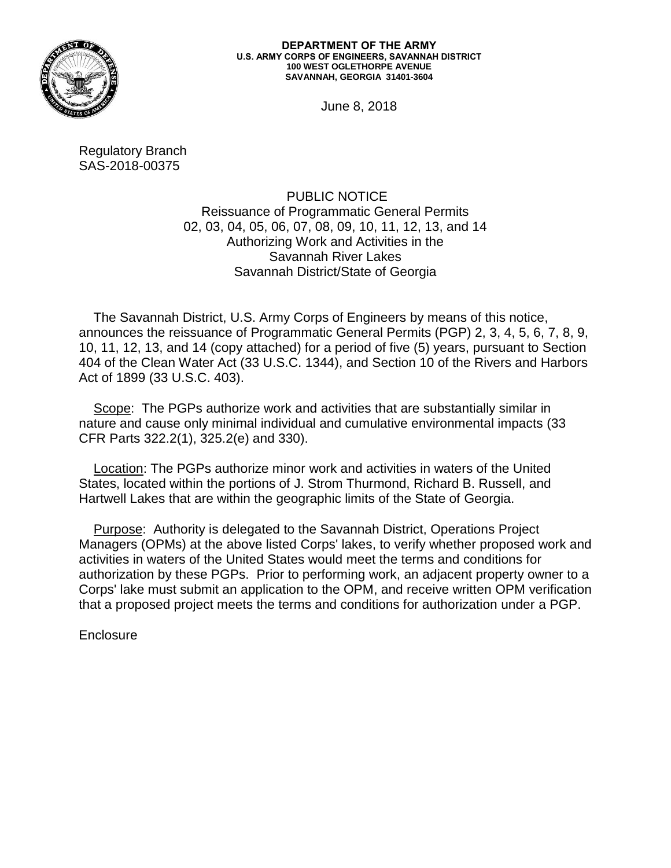

#### **DEPARTMENT OF THE ARMY U.S. ARMY CORPS OF ENGINEERS, SAVANNAH DISTRICT 100 WEST OGLETHORPE AVENUE SAVANNAH, GEORGIA 31401-3604**

June 8, 2018

Regulatory Branch SAS-2018-00375

> PUBLIC NOTICE Reissuance of Programmatic General Permits 02, 03, 04, 05, 06, 07, 08, 09, 10, 11, 12, 13, and 14 Authorizing Work and Activities in the Savannah River Lakes Savannah District/State of Georgia

 The Savannah District, U.S. Army Corps of Engineers by means of this notice, announces the reissuance of Programmatic General Permits (PGP) 2, 3, 4, 5, 6, 7, 8, 9, 10, 11, 12, 13, and 14 (copy attached) for a period of five (5) years, pursuant to Section 404 of the Clean Water Act (33 U.S.C. 1344), and Section 10 of the Rivers and Harbors Act of 1899 (33 U.S.C. 403).

 Scope: The PGPs authorize work and activities that are substantially similar in nature and cause only minimal individual and cumulative environmental impacts (33 CFR Parts 322.2(1), 325.2(e) and 330).

 Location: The PGPs authorize minor work and activities in waters of the United States, located within the portions of J. Strom Thurmond, Richard B. Russell, and Hartwell Lakes that are within the geographic limits of the State of Georgia.

 Purpose: Authority is delegated to the Savannah District, Operations Project Managers (OPMs) at the above listed Corps' lakes, to verify whether proposed work and activities in waters of the United States would meet the terms and conditions for authorization by these PGPs. Prior to performing work, an adjacent property owner to a Corps' lake must submit an application to the OPM, and receive written OPM verification that a proposed project meets the terms and conditions for authorization under a PGP.

**Enclosure**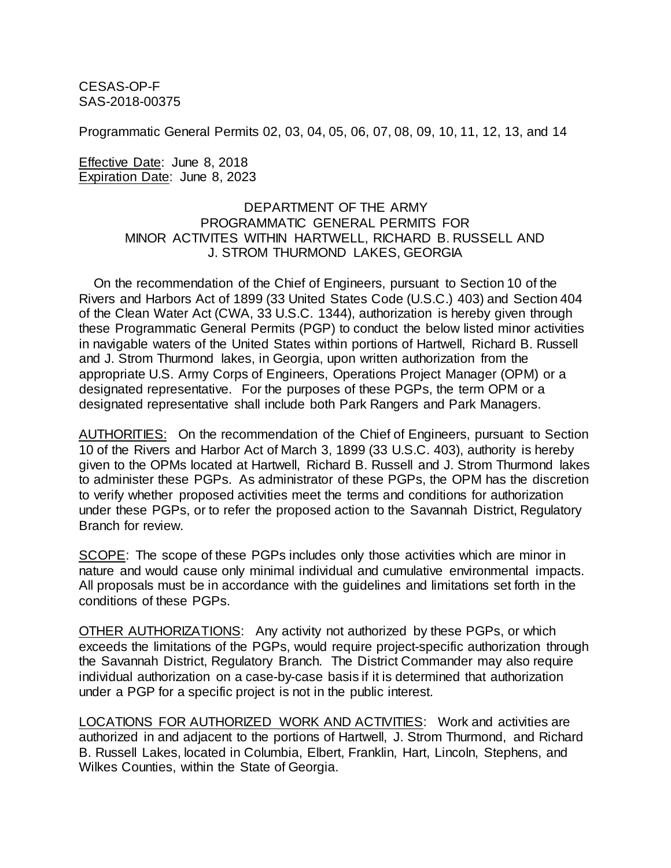CESAS-OP-F SAS-2018-00375

Programmatic General Permits 02, 03, 04, 05, 06, 07, 08, 09, 10, 11, 12, 13, and 14

Effective Date: June 8, 2018 Expiration Date: June 8, 2023

# DEPARTMENT OF THE ARMY PROGRAMMATIC GENERAL PERMITS FOR MINOR ACTIVITES WITHIN HARTWELL, RICHARD B. RUSSELL AND J. STROM THURMOND LAKES, GEORGIA

 On the recommendation of the Chief of Engineers, pursuant to Section 10 of the Rivers and Harbors Act of 1899 (33 United States Code (U.S.C.) 403) and Section 404 of the Clean Water Act (CWA, 33 U.S.C. 1344), authorization is hereby given through these Programmatic General Permits (PGP) to conduct the below listed minor activities in navigable waters of the United States within portions of Hartwell, Richard B. Russell and J. Strom Thurmond lakes, in Georgia, upon written authorization from the appropriate U.S. Army Corps of Engineers, Operations Project Manager (OPM) or a designated representative. For the purposes of these PGPs, the term OPM or a designated representative shall include both Park Rangers and Park Managers.

AUTHORITIES: On the recommendation of the Chief of Engineers, pursuant to Section 10 of the Rivers and Harbor Act of March 3, 1899 (33 U.S.C. 403), authority is hereby given to the OPMs located at Hartwell, Richard B. Russell and J. Strom Thurmond lakes to administer these PGPs. As administrator of these PGPs, the OPM has the discretion to verify whether proposed activities meet the terms and conditions for authorization under these PGPs, or to refer the proposed action to the Savannah District, Regulatory Branch for review.

SCOPE: The scope of these PGPs includes only those activities which are minor in nature and would cause only minimal individual and cumulative environmental impacts. All proposals must be in accordance with the guidelines and limitations set forth in the conditions of these PGPs.

OTHER AUTHORIZATIONS: Any activity not authorized by these PGPs, or which exceeds the limitations of the PGPs, would require project-specific authorization through the Savannah District, Regulatory Branch. The District Commander may also require individual authorization on a case-by-case basis if it is determined that authorization under a PGP for a specific project is not in the public interest.

LOCATIONS FOR AUTHORIZED WORK AND ACTIVITIES: Work and activities are authorized in and adjacent to the portions of Hartwell, J. Strom Thurmond, and Richard B. Russell Lakes, located in Columbia, Elbert, Franklin, Hart, Lincoln, Stephens, and Wilkes Counties, within the State of Georgia.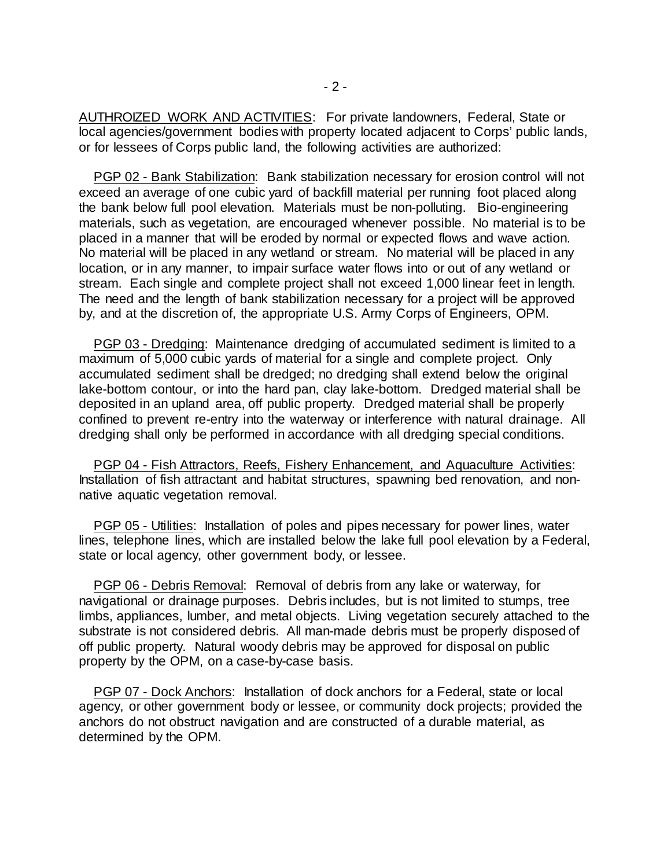AUTHROIZED WORK AND ACTIVITIES: For private landowners, Federal, State or local agencies/government bodies with property located adjacent to Corps' public lands, or for lessees of Corps public land, the following activities are authorized:

 PGP 02 - Bank Stabilization: Bank stabilization necessary for erosion control will not exceed an average of one cubic yard of backfill material per running foot placed along the bank below full pool elevation. Materials must be non-polluting. Bio-engineering materials, such as vegetation, are encouraged whenever possible. No material is to be placed in a manner that will be eroded by normal or expected flows and wave action. No material will be placed in any wetland or stream. No material will be placed in any location, or in any manner, to impair surface water flows into or out of any wetland or stream. Each single and complete project shall not exceed 1,000 linear feet in length. The need and the length of bank stabilization necessary for a project will be approved by, and at the discretion of, the appropriate U.S. Army Corps of Engineers, OPM.

 PGP 03 - Dredging: Maintenance dredging of accumulated sediment is limited to a maximum of 5,000 cubic yards of material for a single and complete project. Only accumulated sediment shall be dredged; no dredging shall extend below the original lake-bottom contour, or into the hard pan, clay lake-bottom. Dredged material shall be deposited in an upland area, off public property. Dredged material shall be properly confined to prevent re-entry into the waterway or interference with natural drainage. All dredging shall only be performed in accordance with all dredging special conditions.

 PGP 04 - Fish Attractors, Reefs, Fishery Enhancement, and Aquaculture Activities: Installation of fish attractant and habitat structures, spawning bed renovation, and nonnative aquatic vegetation removal.

 PGP 05 - Utilities: Installation of poles and pipes necessary for power lines, water lines, telephone lines, which are installed below the lake full pool elevation by a Federal, state or local agency, other government body, or lessee.

 PGP 06 - Debris Removal: Removal of debris from any lake or waterway, for navigational or drainage purposes. Debris includes, but is not limited to stumps, tree limbs, appliances, lumber, and metal objects. Living vegetation securely attached to the substrate is not considered debris*.* All man-made debris must be properly disposed of off public property. Natural woody debris may be approved for disposal on public property by the OPM, on a case-by-case basis.

 PGP 07 - Dock Anchors: Installation of dock anchors for a Federal, state or local agency, or other government body or lessee, or community dock projects; provided the anchors do not obstruct navigation and are constructed of a durable material, as determined by the OPM.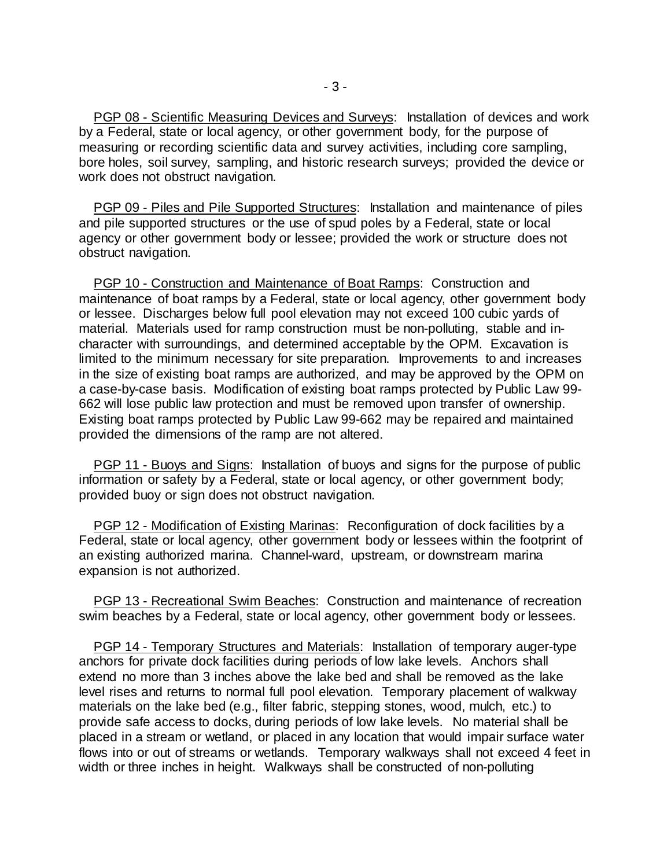PGP 08 - Scientific Measuring Devices and Surveys: Installation of devices and work by a Federal, state or local agency, or other government body, for the purpose of measuring or recording scientific data and survey activities, including core sampling, bore holes, soil survey, sampling, and historic research surveys; provided the device or work does not obstruct navigation.

 PGP 09 - Piles and Pile Supported Structures: Installation and maintenance of piles and pile supported structures or the use of spud poles by a Federal, state or local agency or other government body or lessee; provided the work or structure does not obstruct navigation.

PGP 10 - Construction and Maintenance of Boat Ramps: Construction and maintenance of boat ramps by a Federal, state or local agency, other government body or lessee. Discharges below full pool elevation may not exceed 100 cubic yards of material. Materials used for ramp construction must be non-polluting, stable and incharacter with surroundings, and determined acceptable by the OPM. Excavation is limited to the minimum necessary for site preparation. Improvements to and increases in the size of existing boat ramps are authorized, and may be approved by the OPM on a case-by-case basis. Modification of existing boat ramps protected by Public Law 99- 662 will lose public law protection and must be removed upon transfer of ownership. Existing boat ramps protected by Public Law 99-662 may be repaired and maintained provided the dimensions of the ramp are not altered.

 PGP 11 - Buoys and Signs: Installation of buoys and signs for the purpose of public information or safety by a Federal, state or local agency, or other government body; provided buoy or sign does not obstruct navigation.

 PGP 12 - Modification of Existing Marinas: Reconfiguration of dock facilities by a Federal, state or local agency, other government body or lessees within the footprint of an existing authorized marina. Channel-ward, upstream, or downstream marina expansion is not authorized.

 PGP 13 - Recreational Swim Beaches: Construction and maintenance of recreation swim beaches by a Federal, state or local agency, other government body or lessees.

 PGP 14 - Temporary Structures and Materials: Installation of temporary auger-type anchors for private dock facilities during periods of low lake levels. Anchors shall extend no more than 3 inches above the lake bed and shall be removed as the lake level rises and returns to normal full pool elevation. Temporary placement of walkway materials on the lake bed (e.g., filter fabric, stepping stones, wood, mulch, etc.) to provide safe access to docks, during periods of low lake levels. No material shall be placed in a stream or wetland, or placed in any location that would impair surface water flows into or out of streams or wetlands. Temporary walkways shall not exceed 4 feet in width or three inches in height. Walkways shall be constructed of non-polluting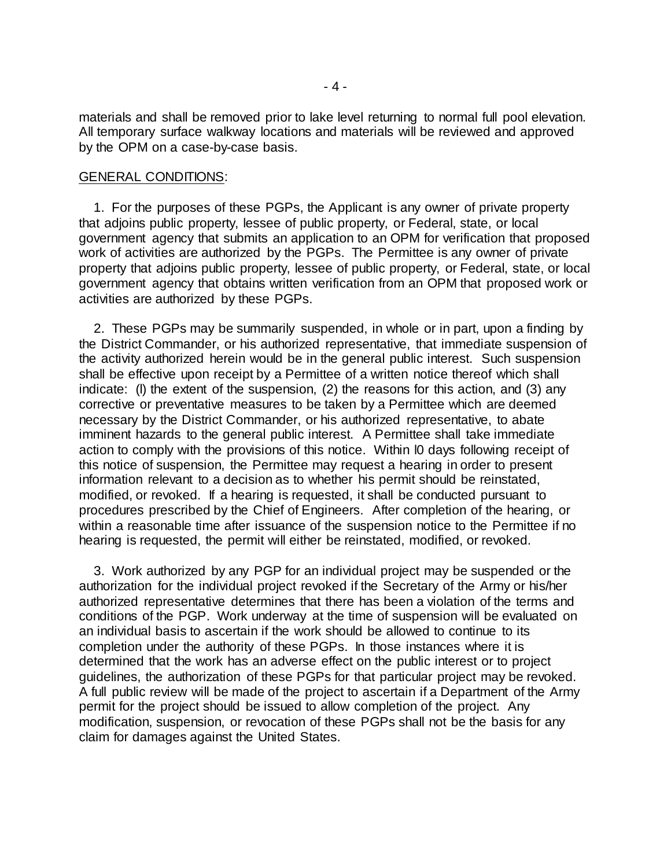materials and shall be removed prior to lake level returning to normal full pool elevation. All temporary surface walkway locations and materials will be reviewed and approved by the OPM on a case-by-case basis.

# GENERAL CONDITIONS:

 1. For the purposes of these PGPs, the Applicant is any owner of private property that adjoins public property, lessee of public property, or Federal, state, or local government agency that submits an application to an OPM for verification that proposed work of activities are authorized by the PGPs. The Permittee is any owner of private property that adjoins public property, lessee of public property, or Federal, state, or local government agency that obtains written verification from an OPM that proposed work or activities are authorized by these PGPs.

 2. These PGPs may be summarily suspended, in whole or in part, upon a finding by the District Commander, or his authorized representative, that immediate suspension of the activity authorized herein would be in the general public interest. Such suspension shall be effective upon receipt by a Permittee of a written notice thereof which shall indicate: (l) the extent of the suspension, (2) the reasons for this action, and (3) any corrective or preventative measures to be taken by a Permittee which are deemed necessary by the District Commander, or his authorized representative, to abate imminent hazards to the general public interest. A Permittee shall take immediate action to comply with the provisions of this notice. Within l0 days following receipt of this notice of suspension, the Permittee may request a hearing in order to present information relevant to a decision as to whether his permit should be reinstated, modified, or revoked. If a hearing is requested, it shall be conducted pursuant to procedures prescribed by the Chief of Engineers. After completion of the hearing, or within a reasonable time after issuance of the suspension notice to the Permittee if no hearing is requested, the permit will either be reinstated, modified, or revoked.

 3. Work authorized by any PGP for an individual project may be suspended or the authorization for the individual project revoked if the Secretary of the Army or his/her authorized representative determines that there has been a violation of the terms and conditions of the PGP. Work underway at the time of suspension will be evaluated on an individual basis to ascertain if the work should be allowed to continue to its completion under the authority of these PGPs. In those instances where it is determined that the work has an adverse effect on the public interest or to project guidelines, the authorization of these PGPs for that particular project may be revoked. A full public review will be made of the project to ascertain if a Department of the Army permit for the project should be issued to allow completion of the project. Any modification, suspension, or revocation of these PGPs shall not be the basis for any claim for damages against the United States.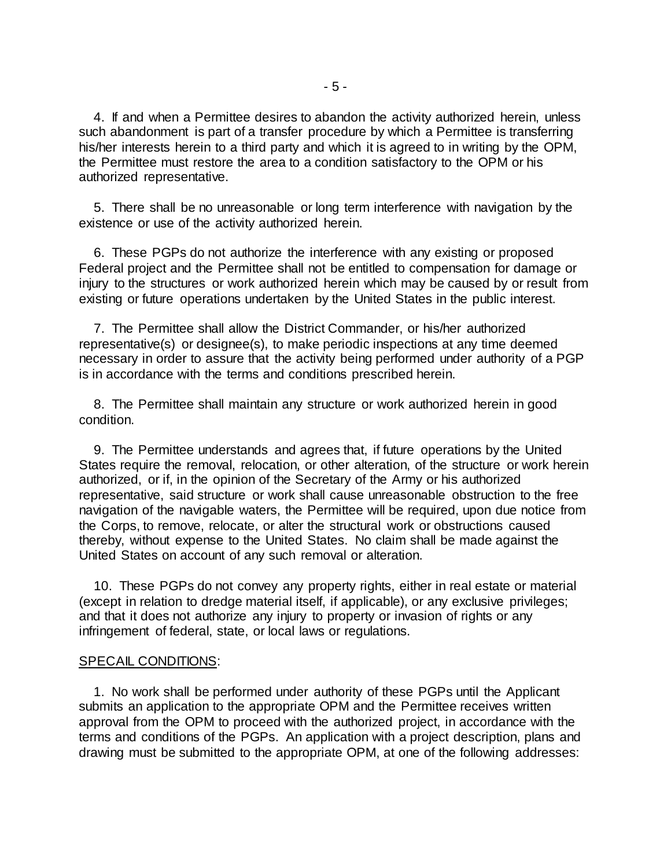4. If and when a Permittee desires to abandon the activity authorized herein, unless such abandonment is part of a transfer procedure by which a Permittee is transferring his/her interests herein to a third party and which it is agreed to in writing by the OPM, the Permittee must restore the area to a condition satisfactory to the OPM or his authorized representative.

 5. There shall be no unreasonable or long term interference with navigation by the existence or use of the activity authorized herein.

 6. These PGPs do not authorize the interference with any existing or proposed Federal project and the Permittee shall not be entitled to compensation for damage or injury to the structures or work authorized herein which may be caused by or result from existing or future operations undertaken by the United States in the public interest.

 7. The Permittee shall allow the District Commander, or his/her authorized representative(s) or designee(s), to make periodic inspections at any time deemed necessary in order to assure that the activity being performed under authority of a PGP is in accordance with the terms and conditions prescribed herein.

 8. The Permittee shall maintain any structure or work authorized herein in good condition.

 9. The Permittee understands and agrees that, if future operations by the United States require the removal, relocation, or other alteration, of the structure or work herein authorized, or if, in the opinion of the Secretary of the Army or his authorized representative, said structure or work shall cause unreasonable obstruction to the free navigation of the navigable waters, the Permittee will be required, upon due notice from the Corps, to remove, relocate, or alter the structural work or obstructions caused thereby, without expense to the United States. No claim shall be made against the United States on account of any such removal or alteration.

 10. These PGPs do not convey any property rights, either in real estate or material (except in relation to dredge material itself, if applicable), or any exclusive privileges; and that it does not authorize any injury to property or invasion of rights or any infringement of federal, state, or local laws or regulations.

## SPECAIL CONDITIONS:

 1. No work shall be performed under authority of these PGPs until the Applicant submits an application to the appropriate OPM and the Permittee receives written approval from the OPM to proceed with the authorized project, in accordance with the terms and conditions of the PGPs. An application with a project description, plans and drawing must be submitted to the appropriate OPM, at one of the following addresses: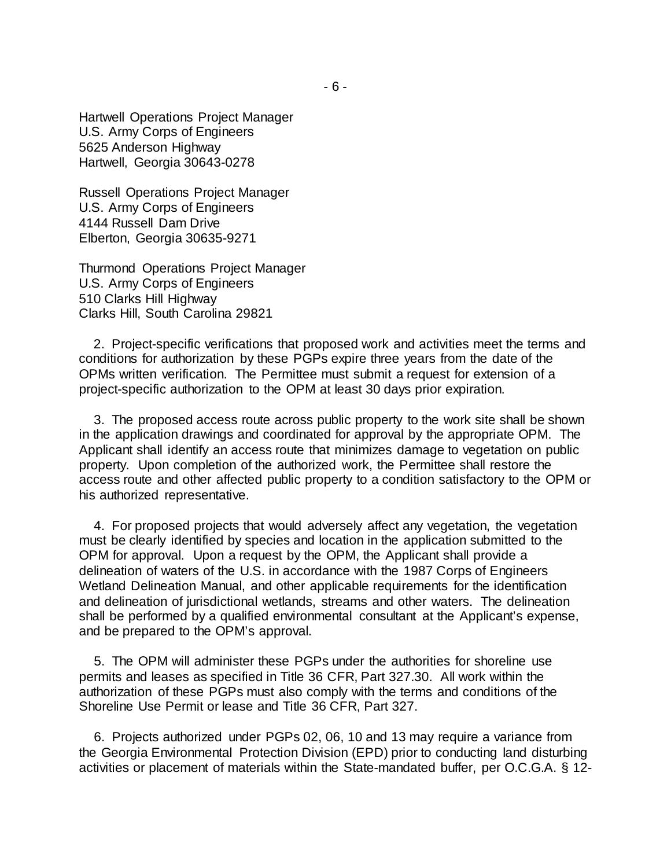Hartwell Operations Project Manager U.S. Army Corps of Engineers 5625 Anderson Highway Hartwell, Georgia 30643-0278

Russell Operations Project Manager U.S. Army Corps of Engineers 4144 Russell Dam Drive Elberton, Georgia 30635-9271

Thurmond Operations Project Manager U.S. Army Corps of Engineers 510 Clarks Hill Highway Clarks Hill, South Carolina 29821

 2. Project-specific verifications that proposed work and activities meet the terms and conditions for authorization by these PGPs expire three years from the date of the OPMs written verification. The Permittee must submit a request for extension of a project-specific authorization to the OPM at least 30 days prior expiration.

 3. The proposed access route across public property to the work site shall be shown in the application drawings and coordinated for approval by the appropriate OPM. The Applicant shall identify an access route that minimizes damage to vegetation on public property. Upon completion of the authorized work, the Permittee shall restore the access route and other affected public property to a condition satisfactory to the OPM or his authorized representative.

 4. For proposed projects that would adversely affect any vegetation, the vegetation must be clearly identified by species and location in the application submitted to the OPM for approval. Upon a request by the OPM, the Applicant shall provide a delineation of waters of the U.S. in accordance with the 1987 Corps of Engineers Wetland Delineation Manual, and other applicable requirements for the identification and delineation of jurisdictional wetlands, streams and other waters. The delineation shall be performed by a qualified environmental consultant at the Applicant's expense, and be prepared to the OPM's approval.

 5. The OPM will administer these PGPs under the authorities for shoreline use permits and leases as specified in Title 36 CFR, Part 327.30. All work within the authorization of these PGPs must also comply with the terms and conditions of the Shoreline Use Permit or lease and Title 36 CFR, Part 327.

 6. Projects authorized under PGPs 02, 06, 10 and 13 may require a variance from the Georgia Environmental Protection Division (EPD) prior to conducting land disturbing activities or placement of materials within the State-mandated buffer, per O.C.G.A. § 12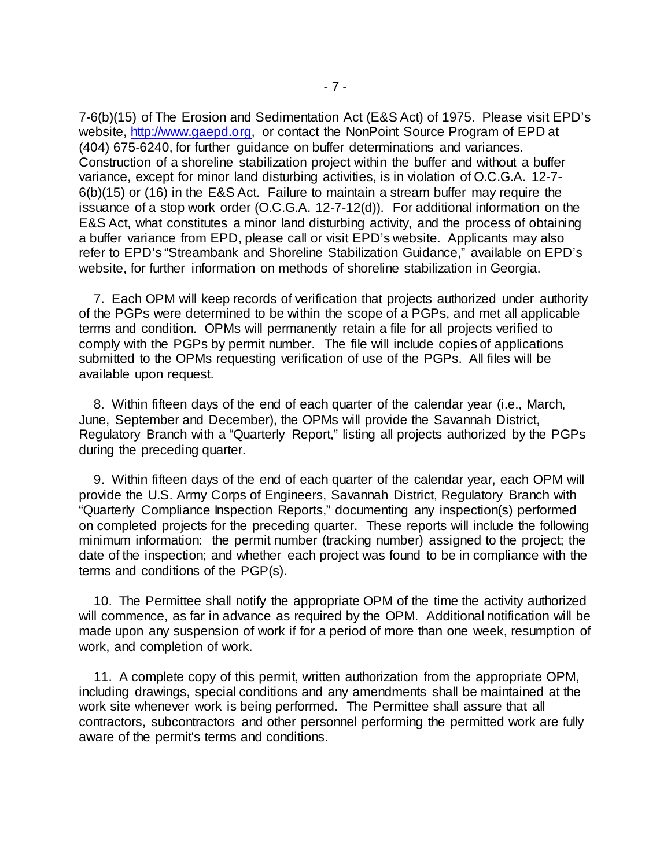7-6(b)(15) of The Erosion and Sedimentation Act (E&S Act) of 1975. Please visit EPD's website, [http://www.gaepd.org,](http://www.gaepd.org/) or contact the NonPoint Source Program of EPD at (404) 675-6240, for further guidance on buffer determinations and variances. Construction of a shoreline stabilization project within the buffer and without a buffer variance, except for minor land disturbing activities, is in violation of O.C.G.A. 12-7- 6(b)(15) or (16) in the E&S Act. Failure to maintain a stream buffer may require the issuance of a stop work order (O.C.G.A. 12-7-12(d)). For additional information on the E&S Act, what constitutes a minor land disturbing activity, and the process of obtaining a buffer variance from EPD, please call or visit EPD's website. Applicants may also refer to EPD's "Streambank and Shoreline Stabilization Guidance," available on EPD's website, for further information on methods of shoreline stabilization in Georgia.

 7. Each OPM will keep records of verification that projects authorized under authority of the PGPs were determined to be within the scope of a PGPs, and met all applicable terms and condition. OPMs will permanently retain a file for all projects verified to comply with the PGPs by permit number. The file will include copies of applications submitted to the OPMs requesting verification of use of the PGPs. All files will be available upon request.

 8. Within fifteen days of the end of each quarter of the calendar year (i.e., March, June, September and December), the OPMs will provide the Savannah District, Regulatory Branch with a "Quarterly Report," listing all projects authorized by the PGPs during the preceding quarter.

 9. Within fifteen days of the end of each quarter of the calendar year, each OPM will provide the U.S. Army Corps of Engineers, Savannah District, Regulatory Branch with "Quarterly Compliance Inspection Reports," documenting any inspection(s) performed on completed projects for the preceding quarter. These reports will include the following minimum information: the permit number (tracking number) assigned to the project; the date of the inspection; and whether each project was found to be in compliance with the terms and conditions of the PGP(s).

 10. The Permittee shall notify the appropriate OPM of the time the activity authorized will commence, as far in advance as required by the OPM. Additional notification will be made upon any suspension of work if for a period of more than one week, resumption of work, and completion of work.

 11. A complete copy of this permit, written authorization from the appropriate OPM, including drawings, special conditions and any amendments shall be maintained at the work site whenever work is being performed. The Permittee shall assure that all contractors, subcontractors and other personnel performing the permitted work are fully aware of the permit's terms and conditions.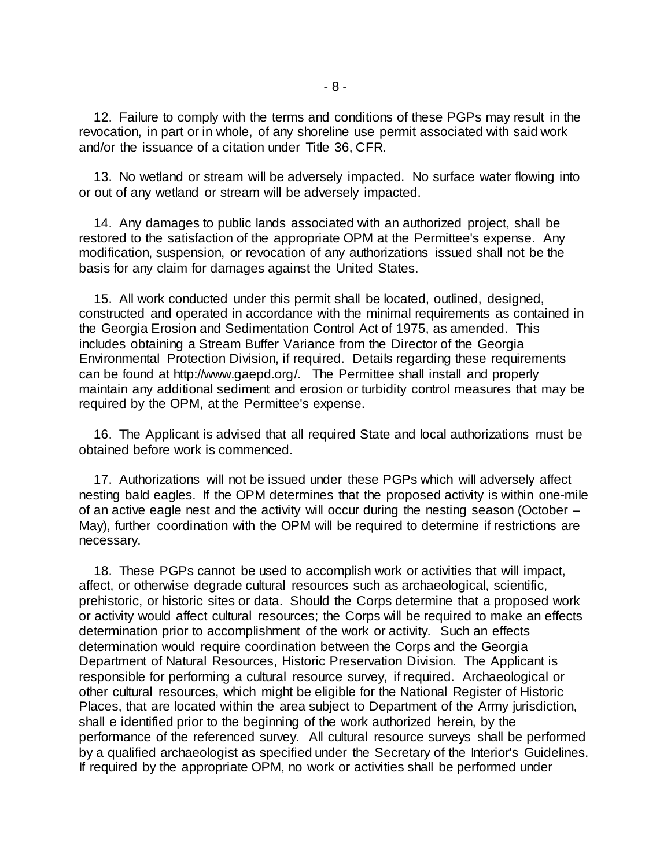12. Failure to comply with the terms and conditions of these PGPs may result in the revocation, in part or in whole, of any shoreline use permit associated with said work and/or the issuance of a citation under Title 36, CFR.

 13. No wetland or stream will be adversely impacted. No surface water flowing into or out of any wetland or stream will be adversely impacted.

 14. Any damages to public lands associated with an authorized project, shall be restored to the satisfaction of the appropriate OPM at the Permittee's expense. Any modification, suspension, or revocation of any authorizations issued shall not be the basis for any claim for damages against the United States.

 15. All work conducted under this permit shall be located, outlined, designed, constructed and operated in accordance with the minimal requirements as contained in the Georgia Erosion and Sedimentation Control Act of 1975, as amended. This includes obtaining a Stream Buffer Variance from the Director of the Georgia Environmental Protection Division, if required. Details regarding these requirements can be found at [http://www.gaepd.org/.](http://www.gaepd.org/) The Permittee shall install and properly maintain any additional sediment and erosion or turbidity control measures that may be required by the OPM, at the Permittee's expense.

 16. The Applicant is advised that all required State and local authorizations must be obtained before work is commenced.

 17. Authorizations will not be issued under these PGPs which will adversely affect nesting bald eagles. If the OPM determines that the proposed activity is within one-mile of an active eagle nest and the activity will occur during the nesting season (October – May), further coordination with the OPM will be required to determine if restrictions are necessary.

 18. These PGPs cannot be used to accomplish work or activities that will impact, affect, or otherwise degrade cultural resources such as archaeological, scientific, prehistoric, or historic sites or data. Should the Corps determine that a proposed work or activity would affect cultural resources; the Corps will be required to make an effects determination prior to accomplishment of the work or activity. Such an effects determination would require coordination between the Corps and the Georgia Department of Natural Resources, Historic Preservation Division. The Applicant is responsible for performing a cultural resource survey, if required. Archaeological or other cultural resources, which might be eligible for the National Register of Historic Places, that are located within the area subject to Department of the Army jurisdiction, shall e identified prior to the beginning of the work authorized herein, by the performance of the referenced survey. All cultural resource surveys shall be performed by a qualified archaeologist as specified under the Secretary of the Interior's Guidelines. If required by the appropriate OPM, no work or activities shall be performed under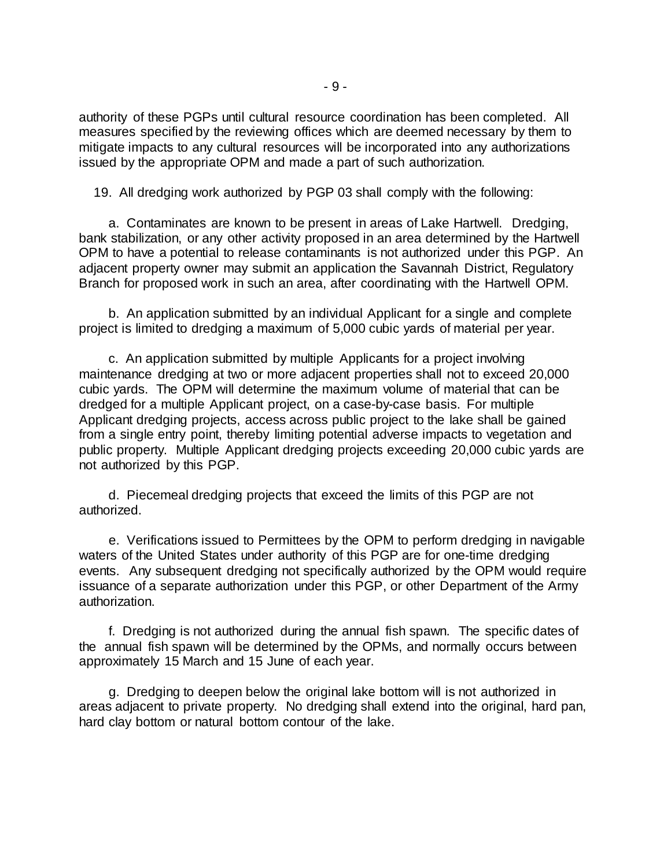authority of these PGPs until cultural resource coordination has been completed. All measures specified by the reviewing offices which are deemed necessary by them to mitigate impacts to any cultural resources will be incorporated into any authorizations issued by the appropriate OPM and made a part of such authorization.

19. All dredging work authorized by PGP 03 shall comply with the following:

 a. Contaminates are known to be present in areas of Lake Hartwell. Dredging, bank stabilization, or any other activity proposed in an area determined by the Hartwell OPM to have a potential to release contaminants is not authorized under this PGP. An adjacent property owner may submit an application the Savannah District, Regulatory Branch for proposed work in such an area, after coordinating with the Hartwell OPM.

 b. An application submitted by an individual Applicant for a single and complete project is limited to dredging a maximum of 5,000 cubic yards of material per year.

 c. An application submitted by multiple Applicants for a project involving maintenance dredging at two or more adjacent properties shall not to exceed 20,000 cubic yards. The OPM will determine the maximum volume of material that can be dredged for a multiple Applicant project, on a case-by-case basis. For multiple Applicant dredging projects, access across public project to the lake shall be gained from a single entry point, thereby limiting potential adverse impacts to vegetation and public property. Multiple Applicant dredging projects exceeding 20,000 cubic yards are not authorized by this PGP.

 d. Piecemeal dredging projects that exceed the limits of this PGP are not authorized.

 e. Verifications issued to Permittees by the OPM to perform dredging in navigable waters of the United States under authority of this PGP are for one-time dredging events. Any subsequent dredging not specifically authorized by the OPM would require issuance of a separate authorization under this PGP, or other Department of the Army authorization.

 f. Dredging is not authorized during the annual fish spawn. The specific dates of the annual fish spawn will be determined by the OPMs, and normally occurs between approximately 15 March and 15 June of each year.

 g. Dredging to deepen below the original lake bottom will is not authorized in areas adjacent to private property. No dredging shall extend into the original, hard pan, hard clay bottom or natural bottom contour of the lake.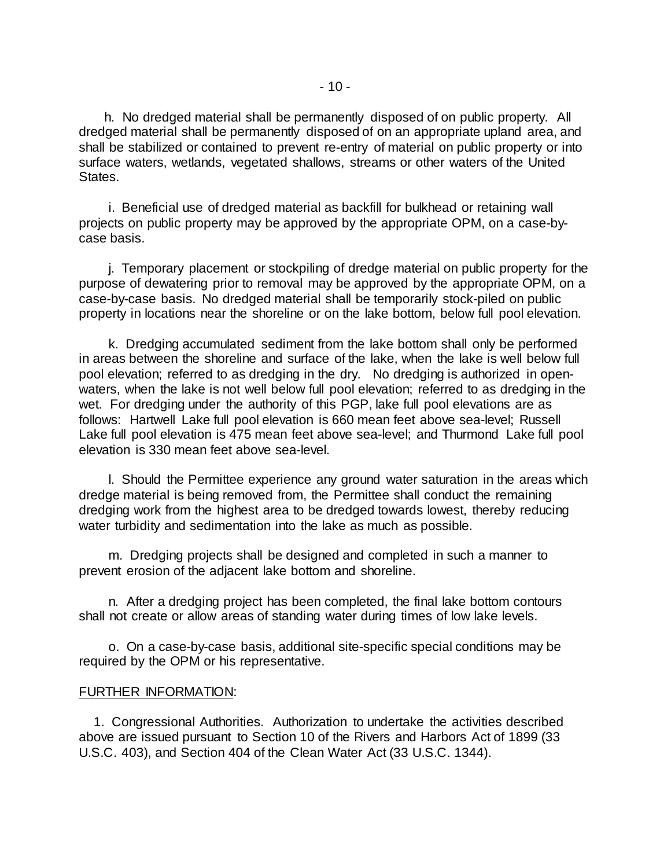h. No dredged material shall be permanently disposed of on public property. All dredged material shall be permanently disposed of on an appropriate upland area, and shall be stabilized or contained to prevent re-entry of material on public property or into surface waters, wetlands, vegetated shallows, streams or other waters of the United States.

 i. Beneficial use of dredged material as backfill for bulkhead or retaining wall projects on public property may be approved by the appropriate OPM, on a case-bycase basis.

 j. Temporary placement or stockpiling of dredge material on public property for the purpose of dewatering prior to removal may be approved by the appropriate OPM, on a case-by-case basis. No dredged material shall be temporarily stock-piled on public property in locations near the shoreline or on the lake bottom, below full pool elevation.

 k. Dredging accumulated sediment from the lake bottom shall only be performed in areas between the shoreline and surface of the lake, when the lake is well below full pool elevation; referred to as dredging in the dry. No dredging is authorized in openwaters, when the lake is not well below full pool elevation; referred to as dredging in the wet. For dredging under the authority of this PGP, lake full pool elevations are as follows: Hartwell Lake full pool elevation is 660 mean feet above sea-level; Russell Lake full pool elevation is 475 mean feet above sea-level; and Thurmond Lake full pool elevation is 330 mean feet above sea-level.

 l. Should the Permittee experience any ground water saturation in the areas which dredge material is being removed from, the Permittee shall conduct the remaining dredging work from the highest area to be dredged towards lowest, thereby reducing water turbidity and sedimentation into the lake as much as possible.

 m. Dredging projects shall be designed and completed in such a manner to prevent erosion of the adjacent lake bottom and shoreline.

 n. After a dredging project has been completed, the final lake bottom contours shall not create or allow areas of standing water during times of low lake levels.

 o. On a case-by-case basis, additional site-specific special conditions may be required by the OPM or his representative.

## FURTHER INFORMATION:

 1. Congressional Authorities. Authorization to undertake the activities described above are issued pursuant to Section 10 of the Rivers and Harbors Act of 1899 (33 U.S.C. 403), and Section 404 of the Clean Water Act (33 U.S.C. 1344).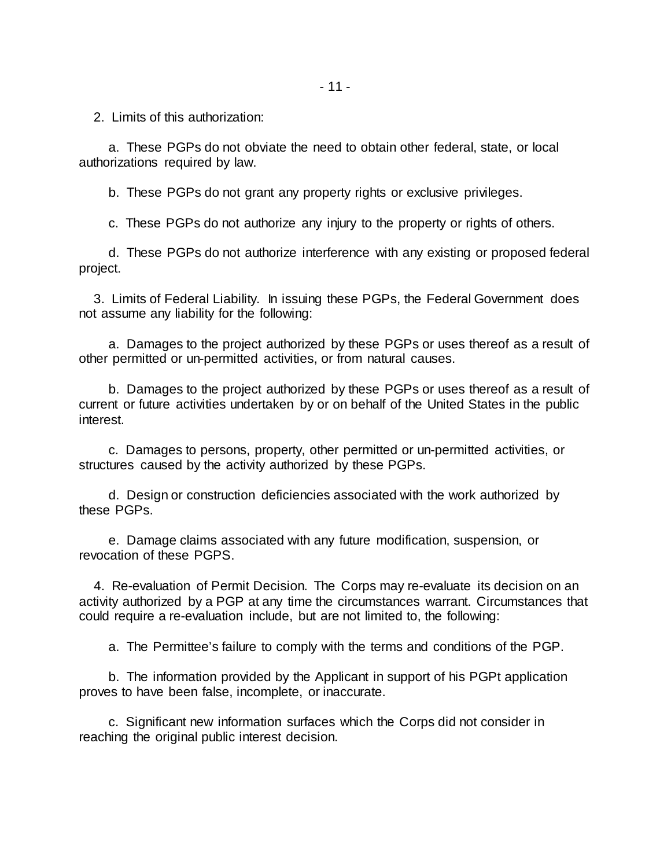2. Limits of this authorization:

 a. These PGPs do not obviate the need to obtain other federal, state, or local authorizations required by law.

b. These PGPs do not grant any property rights or exclusive privileges.

c. These PGPs do not authorize any injury to the property or rights of others.

 d. These PGPs do not authorize interference with any existing or proposed federal project.

 3. Limits of Federal Liability. In issuing these PGPs, the Federal Government does not assume any liability for the following:

 a. Damages to the project authorized by these PGPs or uses thereof as a result of other permitted or un-permitted activities, or from natural causes.

 b. Damages to the project authorized by these PGPs or uses thereof as a result of current or future activities undertaken by or on behalf of the United States in the public interest.

 c. Damages to persons, property, other permitted or un-permitted activities, or structures caused by the activity authorized by these PGPs.

 d. Design or construction deficiencies associated with the work authorized by these PGPs.

 e. Damage claims associated with any future modification, suspension, or revocation of these PGPS.

 4. Re-evaluation of Permit Decision. The Corps may re-evaluate its decision on an activity authorized by a PGP at any time the circumstances warrant. Circumstances that could require a re-evaluation include, but are not limited to, the following:

a. The Permittee's failure to comply with the terms and conditions of the PGP.

 b. The information provided by the Applicant in support of his PGPt application proves to have been false, incomplete, or inaccurate.

 c. Significant new information surfaces which the Corps did not consider in reaching the original public interest decision.